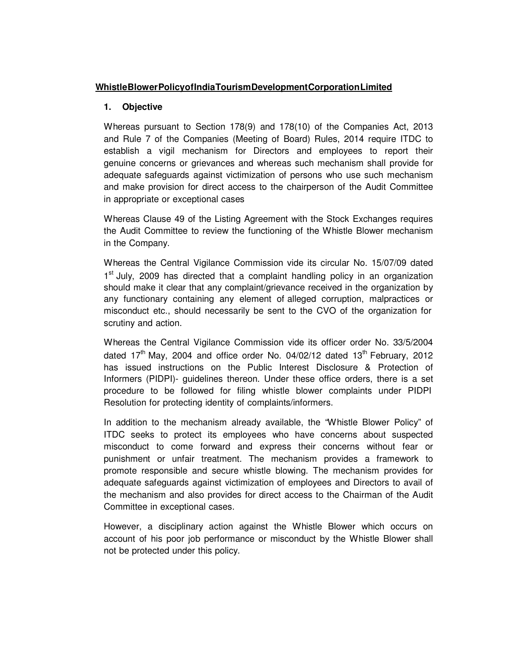## **Whistle Blower Policy of India Tourism Development Corporation Limited**

## **1. Objective**

Whereas pursuant to Section 178(9) and 178(10) of the Companies Act, 2013 and Rule 7 of the Companies (Meeting of Board) Rules, 2014 require ITDC to establish a vigil mechanism for Directors and employees to report their genuine concerns or grievances and whereas such mechanism shall provide for adequate safeguards against victimization of persons who use such mechanism and make provision for direct access to the chairperson of the Audit Committee in appropriate or exceptional cases

Whereas Clause 49 of the Listing Agreement with the Stock Exchanges requires the Audit Committee to review the functioning of the Whistle Blower mechanism in the Company.

Whereas the Central Vigilance Commission vide its circular No. 15/07/09 dated 1<sup>st</sup> July, 2009 has directed that a complaint handling policy in an organization should make it clear that any complaint/grievance received in the organization by any functionary containing any element of alleged corruption, malpractices or misconduct etc., should necessarily be sent to the CVO of the organization for scrutiny and action.

Whereas the Central Vigilance Commission vide its officer order No. 33/5/2004 dated  $17<sup>th</sup>$  May, 2004 and office order No. 04/02/12 dated  $13<sup>th</sup>$  February, 2012 has issued instructions on the Public Interest Disclosure & Protection of Informers (PIDPI)- guidelines thereon. Under these office orders, there is a set procedure to be followed for filing whistle blower complaints under PIDPI Resolution for protecting identity of complaints/informers.

In addition to the mechanism already available, the "Whistle Blower Policy" of ITDC seeks to protect its employees who have concerns about suspected misconduct to come forward and express their concerns without fear or punishment or unfair treatment. The mechanism provides a framework to promote responsible and secure whistle blowing. The mechanism provides for adequate safeguards against victimization of employees and Directors to avail of the mechanism and also provides for direct access to the Chairman of the Audit Committee in exceptional cases.

However, a disciplinary action against the Whistle Blower which occurs on account of his poor job performance or misconduct by the Whistle Blower shall not be protected under this policy.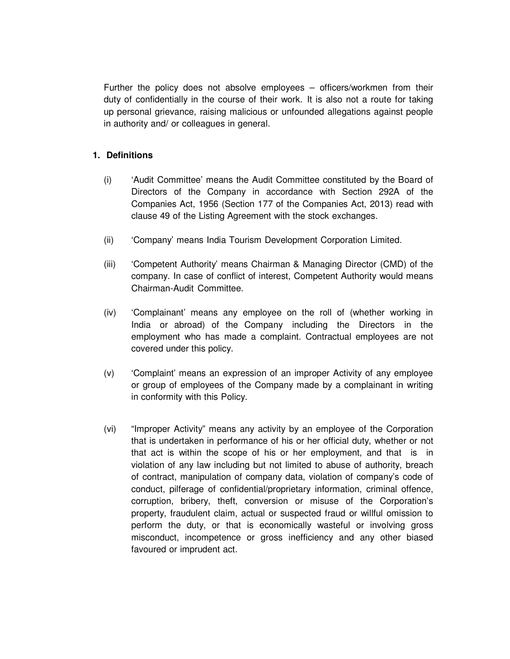Further the policy does not absolve employees – officers/workmen from their duty of confidentially in the course of their work. It is also not a route for taking up personal grievance, raising malicious or unfounded allegations against people in authority and/ or colleagues in general.

## **1. Definitions**

- (i) 'Audit Committee' means the Audit Committee constituted by the Board of Directors of the Company in accordance with Section 292A of the Companies Act, 1956 (Section 177 of the Companies Act, 2013) read with clause 49 of the Listing Agreement with the stock exchanges.
- (ii) 'Company' means India Tourism Development Corporation Limited.
- (iii) 'Competent Authority' means Chairman & Managing Director (CMD) of the company. In case of conflict of interest, Competent Authority would means Chairman-Audit Committee.
- (iv) 'Complainant' means any employee on the roll of (whether working in India or abroad) of the Company including the Directors in the employment who has made a complaint. Contractual employees are not covered under this policy.
- (v) 'Complaint' means an expression of an improper Activity of any employee or group of employees of the Company made by a complainant in writing in conformity with this Policy.
- (vi) "Improper Activity" means any activity by an employee of the Corporation that is undertaken in performance of his or her official duty, whether or not that act is within the scope of his or her employment, and that is in violation of any law including but not limited to abuse of authority, breach of contract, manipulation of company data, violation of company's code of conduct, pilferage of confidential/proprietary information, criminal offence, corruption, bribery, theft, conversion or misuse of the Corporation's property, fraudulent claim, actual or suspected fraud or willful omission to perform the duty, or that is economically wasteful or involving gross misconduct, incompetence or gross inefficiency and any other biased favoured or imprudent act.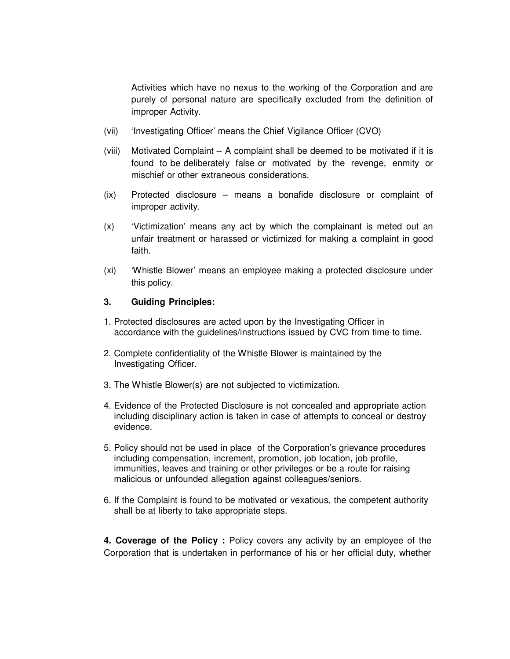Activities which have no nexus to the working of the Corporation and are purely of personal nature are specifically excluded from the definition of improper Activity.

- (vii) 'Investigating Officer' means the Chief Vigilance Officer (CVO)
- (viii) Motivated Complaint A complaint shall be deemed to be motivated if it is found to be deliberately false or motivated by the revenge, enmity or mischief or other extraneous considerations.
- (ix) Protected disclosure means a bonafide disclosure or complaint of improper activity.
- (x) 'Victimization' means any act by which the complainant is meted out an unfair treatment or harassed or victimized for making a complaint in good faith.
- (xi) 'Whistle Blower' means an employee making a protected disclosure under this policy.

## **3. Guiding Principles:**

- 1. Protected disclosures are acted upon by the Investigating Officer in accordance with the guidelines/instructions issued by CVC from time to time.
- 2. Complete confidentiality of the Whistle Blower is maintained by the Investigating Officer.
- 3. The Whistle Blower(s) are not subjected to victimization.
- 4. Evidence of the Protected Disclosure is not concealed and appropriate action including disciplinary action is taken in case of attempts to conceal or destroy evidence.
- 5. Policy should not be used in place of the Corporation's grievance procedures including compensation, increment, promotion, job location, job profile, immunities, leaves and training or other privileges or be a route for raising malicious or unfounded allegation against colleagues/seniors.
- 6. If the Complaint is found to be motivated or vexatious, the competent authority shall be at liberty to take appropriate steps.

**4. Coverage of the Policy :** Policy covers any activity by an employee of the Corporation that is undertaken in performance of his or her official duty, whether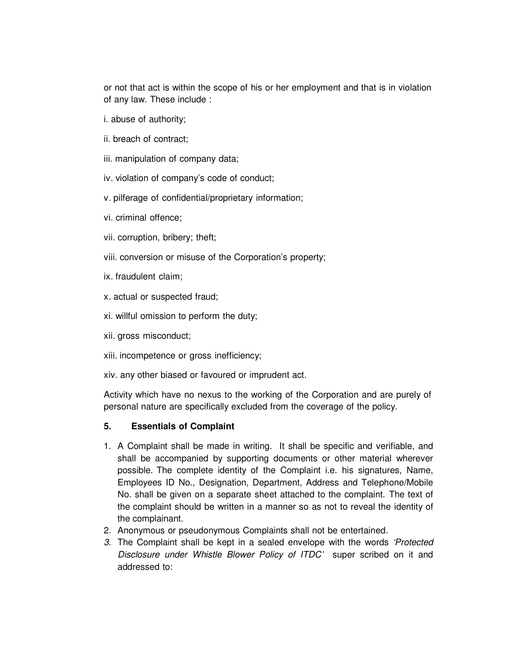or not that act is within the scope of his or her employment and that is in violation of any law. These include :

- i. abuse of authority;
- ii. breach of contract;
- iii. manipulation of company data;

iv. violation of company's code of conduct;

- v. pilferage of confidential/proprietary information;
- vi. criminal offence;
- vii. corruption, bribery; theft;
- viii. conversion or misuse of the Corporation's property;
- ix. fraudulent claim;
- x. actual or suspected fraud;
- xi. willful omission to perform the duty;
- xii. gross misconduct;
- xiii. incompetence or gross inefficiency;
- xiv. any other biased or favoured or imprudent act.

Activity which have no nexus to the working of the Corporation and are purely of personal nature are specifically excluded from the coverage of the policy.

## **5. Essentials of Complaint**

- 1. A Complaint shall be made in writing. It shall be specific and verifiable, and shall be accompanied by supporting documents or other material wherever possible. The complete identity of the Complaint i.e. his signatures, Name, Employees ID No., Designation, Department, Address and Telephone/Mobile No. shall be given on a separate sheet attached to the complaint. The text of the complaint should be written in a manner so as not to reveal the identity of the complainant.
- 2. Anonymous or pseudonymous Complaints shall not be entertained.
- 3. The Complaint shall be kept in a sealed envelope with the words 'Protected Disclosure under Whistle Blower Policy of ITDC' super scribed on it and addressed to: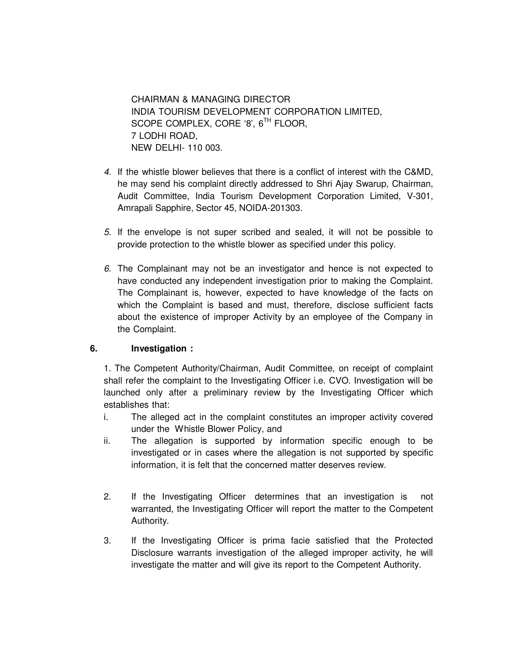CHAIRMAN & MANAGING DIRECTOR INDIA TOURISM DEVELOPMENT CORPORATION LIMITED, SCOPE COMPLEX, CORE '8', 6<sup>TH</sup> FLOOR, 7 LODHI ROAD, NEW DELHI- 110 003.

- 4. If the whistle blower believes that there is a conflict of interest with the C&MD, he may send his complaint directly addressed to Shri Ajay Swarup, Chairman, Audit Committee, India Tourism Development Corporation Limited, V-301, Amrapali Sapphire, Sector 45, NOIDA-201303.
- 5. If the envelope is not super scribed and sealed, it will not be possible to provide protection to the whistle blower as specified under this policy.
- 6. The Complainant may not be an investigator and hence is not expected to have conducted any independent investigation prior to making the Complaint. The Complainant is, however, expected to have knowledge of the facts on which the Complaint is based and must, therefore, disclose sufficient facts about the existence of improper Activity by an employee of the Company in the Complaint.

# **6. Investigation :**

1. The Competent Authority/Chairman, Audit Committee, on receipt of complaint shall refer the complaint to the Investigating Officer i.e. CVO. Investigation will be launched only after a preliminary review by the Investigating Officer which establishes that:

- i. The alleged act in the complaint constitutes an improper activity covered under the Whistle Blower Policy, and
- ii. The allegation is supported by information specific enough to be investigated or in cases where the allegation is not supported by specific information, it is felt that the concerned matter deserves review.
- 2. If the Investigating Officer determines that an investigation is not warranted, the Investigating Officer will report the matter to the Competent Authority.
- 3. If the Investigating Officer is prima facie satisfied that the Protected Disclosure warrants investigation of the alleged improper activity, he will investigate the matter and will give its report to the Competent Authority.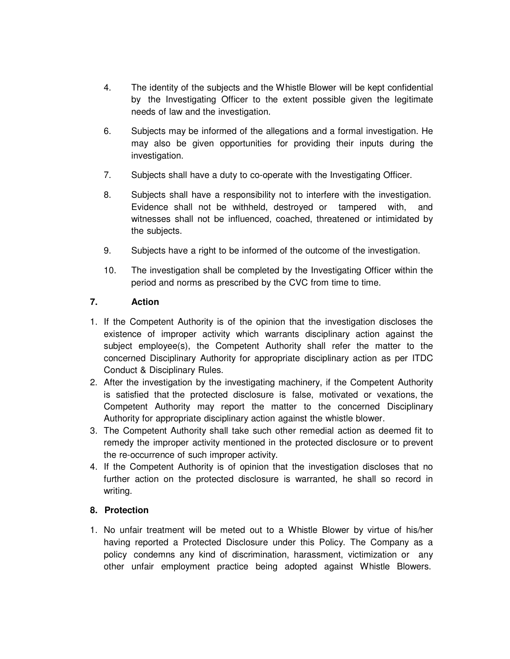- 4. The identity of the subjects and the Whistle Blower will be kept confidential by the Investigating Officer to the extent possible given the legitimate needs of law and the investigation.
- 6. Subjects may be informed of the allegations and a formal investigation. He may also be given opportunities for providing their inputs during the investigation.
- 7. Subjects shall have a duty to co-operate with the Investigating Officer.
- 8. Subjects shall have a responsibility not to interfere with the investigation. Evidence shall not be withheld, destroyed or tampered with, and witnesses shall not be influenced, coached, threatened or intimidated by the subjects.
- 9. Subjects have a right to be informed of the outcome of the investigation.
- 10. The investigation shall be completed by the Investigating Officer within the period and norms as prescribed by the CVC from time to time.

## **7. Action**

- 1. If the Competent Authority is of the opinion that the investigation discloses the existence of improper activity which warrants disciplinary action against the subject employee(s), the Competent Authority shall refer the matter to the concerned Disciplinary Authority for appropriate disciplinary action as per ITDC Conduct & Disciplinary Rules.
- 2. After the investigation by the investigating machinery, if the Competent Authority is satisfied that the protected disclosure is false, motivated or vexations, the Competent Authority may report the matter to the concerned Disciplinary Authority for appropriate disciplinary action against the whistle blower.
- 3. The Competent Authority shall take such other remedial action as deemed fit to remedy the improper activity mentioned in the protected disclosure or to prevent the re-occurrence of such improper activity.
- 4. If the Competent Authority is of opinion that the investigation discloses that no further action on the protected disclosure is warranted, he shall so record in writing.

## **8. Protection**

1. No unfair treatment will be meted out to a Whistle Blower by virtue of his/her having reported a Protected Disclosure under this Policy. The Company as a policy condemns any kind of discrimination, harassment, victimization or any other unfair employment practice being adopted against Whistle Blowers.